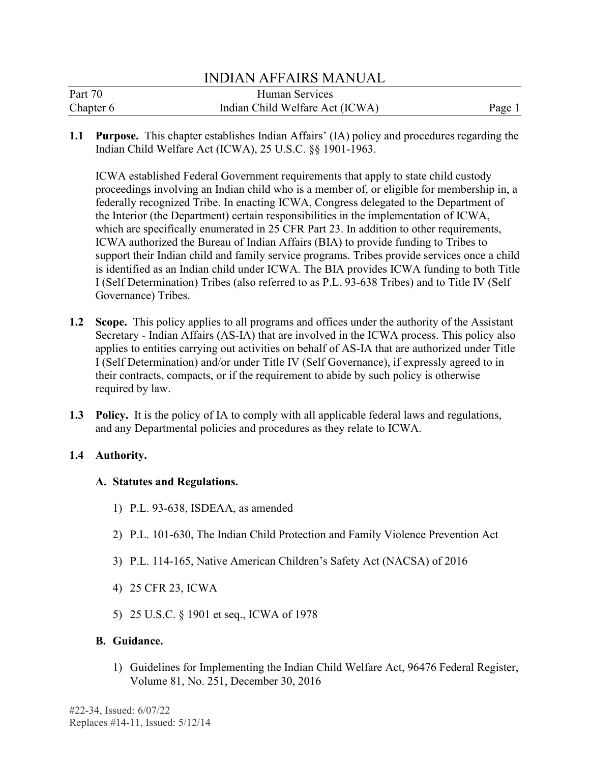|           | <b>INDIAN AFFAIRS MANUAL</b>    |        |
|-----------|---------------------------------|--------|
| Part 70   | Human Services                  |        |
| Chapter 6 | Indian Child Welfare Act (ICWA) | Page 1 |

**1.1 Purpose.** This chapter establishes Indian Affairs' (IA) policy and procedures regarding the Indian Child Welfare Act (ICWA), 25 U.S.C. §§ 1901-1963.

 ICWA established Federal Government requirements that apply to state child custody the Interior (the Department) certain responsibilities in the implementation of ICWA, is identified as an Indian child under ICWA. The BIA provides ICWA funding to both Title I (Self Determination) Tribes (also referred to as P.L. 93-638 Tribes) and to Title IV (Self Governance) Tribes. proceedings involving an Indian child who is a member of, or eligible for membership in, a federally recognized Tribe. In enacting ICWA, Congress delegated to the Department of which are specifically enumerated in 25 CFR Part 23. In addition to other requirements, ICWA authorized the Bureau of Indian Affairs (BIA) to provide funding to Tribes to support their Indian child and family service programs. Tribes provide services once a child

- **1.2 Scope.** This policy applies to all programs and offices under the authority of the Assistant applies to entities carrying out activities on behalf of AS-IA that are authorized under Title Secretary - Indian Affairs (AS-IA) that are involved in the ICWA process. This policy also I (Self Determination) and/or under Title IV (Self Governance), if expressly agreed to in their contracts, compacts, or if the requirement to abide by such policy is otherwise required by law.
- **1.3 Policy.** It is the policy of IA to comply with all applicable federal laws and regulations, and any Departmental policies and procedures as they relate to ICWA.

## **1.4 Authority.**

### **A. Statutes and Regulations.**

- 1) P.L. 93-638, ISDEAA, as amended
- 2) P.L. 101-630, The Indian Child Protection and Family Violence Prevention Act
- 3) P.L. 114-165, Native American Children's Safety Act (NACSA) of 2016
- 4) 25 CFR 23, ICWA
- 5) 25 U.S.C. § 1901 et seq., ICWA of 1978

## **B. Guidance.**

1) Guidelines for Implementing the Indian Child Welfare Act, 96476 Federal Register, Volume 81, No. 251, December 30, 2016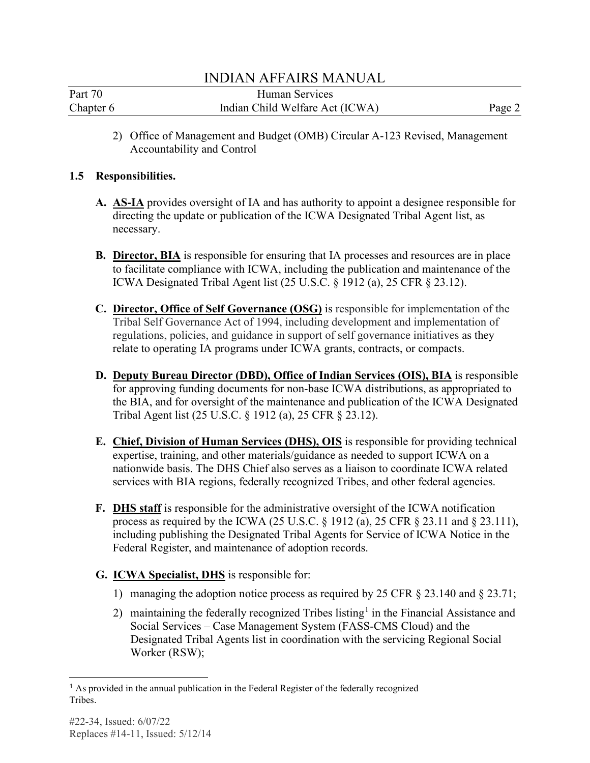| Part 70   | Human Services                  |        |
|-----------|---------------------------------|--------|
| Chapter 6 | Indian Child Welfare Act (ICWA) | Page 2 |

2) Office of Management and Budget (OMB) Circular A-123 Revised, Management Accountability and Control

## **1.5 Responsibilities.**

- directing the update or publication of the ICWA Designated Tribal Agent list, as **A. AS-IA** provides oversight of IA and has authority to appoint a designee responsible for necessary.
- **B.** Director, BIA is responsible for ensuring that IA processes and resources are in place to facilitate compliance with ICWA, including the publication and maintenance of the ICWA Designated Tribal Agent list (25 U.S.C. § 1912 (a), 25 CFR § 23.12).
- **C. Director, Office of Self Governance (OSG)** is responsible for implementation of the Tribal Self Governance Act of 1994, including development and implementation of regulations, policies, and guidance in support of self governance initiatives as they relate to operating IA programs under ICWA grants, contracts, or compacts.
- **D. Deputy Bureau Director (DBD), Office of Indian Services (OIS), BIA** is responsible for approving funding documents for non-base ICWA distributions, as appropriated to the BIA, and for oversight of the maintenance and publication of the ICWA Designated Tribal Agent list (25 U.S.C. § 1912 (a), 25 CFR § 23.12).
- nationwide basis. The DHS Chief also serves as a liaison to coordinate ICWA related services with BIA regions, federally recognized Tribes, and other federal agencies. **E. Chief, Division of Human Services (DHS), OIS** is responsible for providing technical expertise, training, and other materials/guidance as needed to support ICWA on a
- **F. DHS staff** is responsible for the administrative oversight of the ICWA notification process as required by the ICWA (25 U.S.C. § 1912 (a), 25 CFR § 23.11 and § 23.111), including publishing the Designated Tribal Agents for Service of ICWA Notice in the Federal Register, and maintenance of adoption records.
- **G. ICWA Specialist, DHS** is responsible for:
	- 1) managing the adoption notice process as required by 25 CFR § 23.140 and § 23.71;
	- 2) maintaining the federally recognized Tribes listing<sup>[1](#page-1-0)</sup> in the Financial Assistance and Social Services – Case Management System (FASS-CMS Cloud) and the Designated Tribal Agents list in coordination with the servicing Regional Social Worker (RSW);

<span id="page-1-0"></span><sup>&</sup>lt;sup>1</sup> As provided in the annual publication in the Federal Register of the federally recognized Tribes.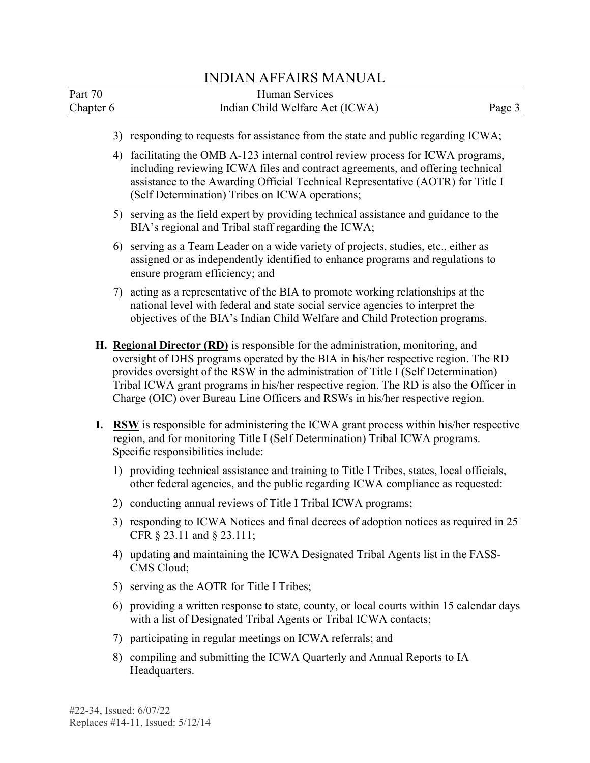|                      |    | <b>INDIAN AFFAIRS MANUAL</b>                                                                                                                                                                                                                                                                                                                                                                                                             |  |
|----------------------|----|------------------------------------------------------------------------------------------------------------------------------------------------------------------------------------------------------------------------------------------------------------------------------------------------------------------------------------------------------------------------------------------------------------------------------------------|--|
| Part 70<br>Chapter 6 |    | <b>Human Services</b><br>Indian Child Welfare Act (ICWA)<br>Page 3                                                                                                                                                                                                                                                                                                                                                                       |  |
|                      |    | 3) responding to requests for assistance from the state and public regarding ICWA;                                                                                                                                                                                                                                                                                                                                                       |  |
|                      | 4) | facilitating the OMB A-123 internal control review process for ICWA programs,<br>including reviewing ICWA files and contract agreements, and offering technical<br>assistance to the Awarding Official Technical Representative (AOTR) for Title I<br>(Self Determination) Tribes on ICWA operations;                                                                                                                                    |  |
|                      |    | 5) serving as the field expert by providing technical assistance and guidance to the<br>BIA's regional and Tribal staff regarding the ICWA;                                                                                                                                                                                                                                                                                              |  |
|                      | 6) | serving as a Team Leader on a wide variety of projects, studies, etc., either as<br>assigned or as independently identified to enhance programs and regulations to<br>ensure program efficiency; and                                                                                                                                                                                                                                     |  |
|                      | 7) | acting as a representative of the BIA to promote working relationships at the<br>national level with federal and state social service agencies to interpret the<br>objectives of the BIA's Indian Child Welfare and Child Protection programs.                                                                                                                                                                                           |  |
|                      |    | H. Regional Director (RD) is responsible for the administration, monitoring, and<br>oversight of DHS programs operated by the BIA in his/her respective region. The RD<br>provides oversight of the RSW in the administration of Title I (Self Determination)<br>Tribal ICWA grant programs in his/her respective region. The RD is also the Officer in<br>Charge (OIC) over Bureau Line Officers and RSWs in his/her respective region. |  |
|                      |    | I. RSW is responsible for administering the ICWA grant process within his/her respective<br>region, and for monitoring Title I (Self Determination) Tribal ICWA programs.<br>Specific responsibilities include:                                                                                                                                                                                                                          |  |
|                      |    | 1) providing technical assistance and training to Title I Tribes, states, local officials,<br>other federal agencies, and the public regarding ICWA compliance as requested:                                                                                                                                                                                                                                                             |  |
|                      |    | 2) conducting annual reviews of Title I Tribal ICWA programs;                                                                                                                                                                                                                                                                                                                                                                            |  |
|                      |    | 3) responding to ICWA Notices and final decrees of adoption notices as required in 25<br>CFR § 23.11 and § 23.111;                                                                                                                                                                                                                                                                                                                       |  |
|                      |    | 4) updating and maintaining the ICWA Designated Tribal Agents list in the FASS-<br>CMS Cloud;                                                                                                                                                                                                                                                                                                                                            |  |
|                      |    | 5) serving as the AOTR for Title I Tribes;                                                                                                                                                                                                                                                                                                                                                                                               |  |
|                      |    | 6) providing a written response to state, county, or local courts within 15 calendar days<br>with a list of Designated Tribal Agents or Tribal ICWA contacts;                                                                                                                                                                                                                                                                            |  |
|                      |    | 7) participating in regular meetings on ICWA referrals; and                                                                                                                                                                                                                                                                                                                                                                              |  |
|                      |    | 8) compiling and submitting the ICWA Quarterly and Annual Reports to IA                                                                                                                                                                                                                                                                                                                                                                  |  |

8) compiling and submitting the ICWA Quarterly and Annual Repor compiling and<br>Headquarters.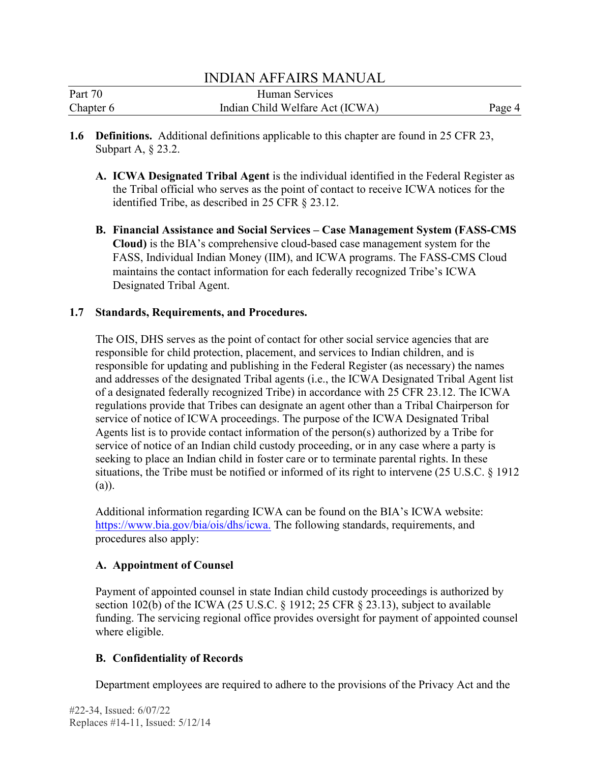| Part 70   | Human Services                  |        |
|-----------|---------------------------------|--------|
| Chapter 6 | Indian Child Welfare Act (ICWA) | Page 4 |

- **1.6 Definitions.** Additional definitions applicable to this chapter are found in 25 CFR 23, Subpart A, § 23.2.
	- **A. ICWA Designated Tribal Agent** is the individual identified in the Federal Register as the Tribal official who serves as the point of contact to receive ICWA notices for the identified Tribe, as described in 25 CFR § 23.12.
	- **B. Financial Assistance and Social Services Case Management System (FASS-CMS Cloud)** is the BIA's comprehensive cloud-based case management system for the FASS, Individual Indian Money (IIM), and ICWA programs. The FASS-CMS Cloud maintains the contact information for each federally recognized Tribe's ICWA Designated Tribal Agent.

## **1.7 Standards, Requirements, and Procedures.**

 service of notice of ICWA proceedings. The purpose of the ICWA Designated Tribal The OIS, DHS serves as the point of contact for other social service agencies that are responsible for child protection, placement, and services to Indian children, and is responsible for updating and publishing in the Federal Register (as necessary) the names and addresses of the designated Tribal agents (i.e., the ICWA Designated Tribal Agent list of a designated federally recognized Tribe) in accordance with 25 CFR 23.12. The ICWA regulations provide that Tribes can designate an agent other than a Tribal Chairperson for Agents list is to provide contact information of the person(s) authorized by a Tribe for service of notice of an Indian child custody proceeding, or in any case where a party is seeking to place an Indian child in foster care or to terminate parental rights. In these situations, the Tribe must be notified or informed of its right to intervene (25 U.S.C. § 1912 (a)).

Additional information regarding ICWA can be found on the BIA's ICWA website: [https://www.bia.gov/bia/ois/dhs/icwa.](https://www.bia.gov/bia/ois/dhs/icwa) The following standards, requirements, and procedures also apply:

## **A. Appointment of Counsel**

Payment of appointed counsel in state Indian child custody proceedings is authorized by section 102(b) of the ICWA (25 U.S.C. § 1912; 25 CFR § 23.13), subject to available funding. The servicing regional office provides oversight for payment of appointed counsel where eligible.

# **B. Confidentiality of Records**

Department employees are required to adhere to the provisions of the Privacy Act and the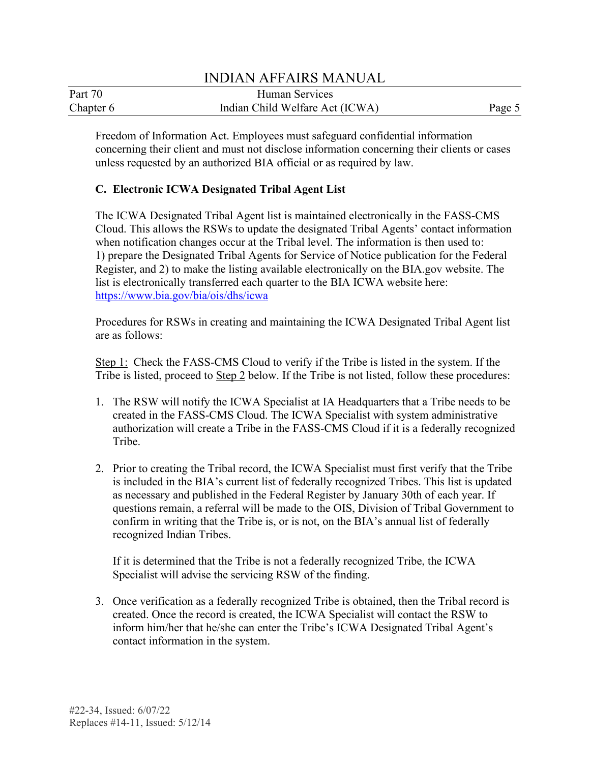| Part 70   | Human Services                  |        |
|-----------|---------------------------------|--------|
| Chapter 6 | Indian Child Welfare Act (ICWA) | Page 5 |

 concerning their client and must not disclose information concerning their clients or cases unless requested by an authorized BIA official or as required by law. Freedom of Information Act. Employees must safeguard confidential information

## **C. Electronic ICWA Designated Tribal Agent List**

when notification changes occur at the Tribal level. The information is then used to: The ICWA Designated Tribal Agent list is maintained electronically in the FASS-CMS Cloud. This allows the RSWs to update the designated Tribal Agents' contact information 1) prepare the Designated Tribal Agents for Service of Notice publication for the Federal Register, and 2) to make the listing available electronically on the BIA.gov website. The list is electronically transferred each quarter to the BIA ICWA website here: <https://www.bia.gov/bia/ois/dhs/icwa>

Procedures for RSWs in creating and maintaining the ICWA Designated Tribal Agent list are as follows:

Step 1: Check the FASS-CMS Cloud to verify if the Tribe is listed in the system. If the Tribe is listed, proceed to Step 2 below. If the Tribe is not listed, follow these procedures:

- 1. The RSW will notify the ICWA Specialist at IA Headquarters that a Tribe needs to be created in the FASS-CMS Cloud. The ICWA Specialist with system administrative authorization will create a Tribe in the FASS-CMS Cloud if it is a federally recognized Tribe.
- 2. Prior to creating the Tribal record, the ICWA Specialist must first verify that the Tribe is included in the BIA's current list of federally recognized Tribes. This list is updated as necessary and published in the Federal Register by January 30th of each year. If questions remain, a referral will be made to the OIS, Division of Tribal Government to confirm in writing that the Tribe is, or is not, on the BIA's annual list of federally recognized Indian Tribes.

If it is determined that the Tribe is not a federally recognized Tribe, the ICWA Specialist will advise the servicing RSW of the finding.

 3. Once verification as a federally recognized Tribe is obtained, then the Tribal record is created. Once the record is created, the ICWA Specialist will contact the RSW to inform him/her that he/she can enter the Tribe's ICWA Designated Tribal Agent's contact information in the system.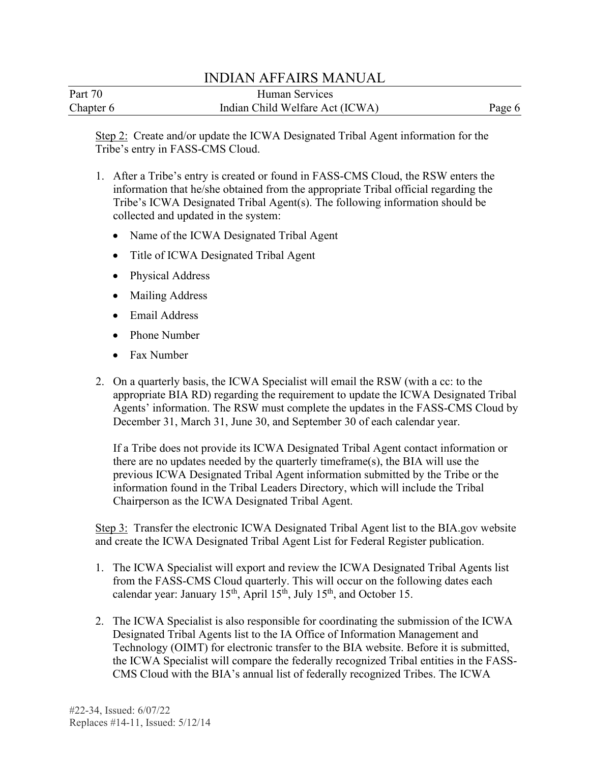| Part 70   | Human Services                  |        |
|-----------|---------------------------------|--------|
| Chapter 6 | Indian Child Welfare Act (ICWA) | Page 6 |

Step 2: Create and/or update the ICWA Designated Tribal Agent information for the Tribe's entry in FASS-CMS Cloud.

- information that he/she obtained from the appropriate Tribal official regarding the 1. After a Tribe's entry is created or found in FASS-CMS Cloud, the RSW enters the Tribe's ICWA Designated Tribal Agent(s). The following information should be collected and updated in the system:
	- Name of the ICWA Designated Tribal Agent
	- Title of ICWA Designated Tribal Agent
	- Physical Address
	- Mailing Address
	- Email Address
	- Phone Number
	- Fax Number
- 2. On a quarterly basis, the ICWA Specialist will email the RSW (with a cc: to the appropriate BIA RD) regarding the requirement to update the ICWA Designated Tribal Agents' information. The RSW must complete the updates in the FASS-CMS Cloud by December 31, March 31, June 30, and September 30 of each calendar year.

If a Tribe does not provide its ICWA Designated Tribal Agent contact information or there are no updates needed by the quarterly timeframe(s), the BIA will use the previous ICWA Designated Tribal Agent information submitted by the Tribe or the information found in the Tribal Leaders Directory, which will include the Tribal Chairperson as the ICWA Designated Tribal Agent.

Step 3: Transfer the electronic ICWA Designated Tribal Agent list to the BIA.gov website and create the ICWA Designated Tribal Agent List for Federal Register publication.

- 1. The ICWA Specialist will export and review the ICWA Designated Tribal Agents list from the FASS-CMS Cloud quarterly. This will occur on the following dates each calendar year: January  $15<sup>th</sup>$ , April  $15<sup>th</sup>$ , July  $15<sup>th</sup>$ , and October 15.
- Designated Tribal Agents list to the IA Office of Information Management and 2. The ICWA Specialist is also responsible for coordinating the submission of the ICWA Technology (OIMT) for electronic transfer to the BIA website. Before it is submitted, the ICWA Specialist will compare the federally recognized Tribal entities in the FASS-CMS Cloud with the BIA's annual list of federally recognized Tribes. The ICWA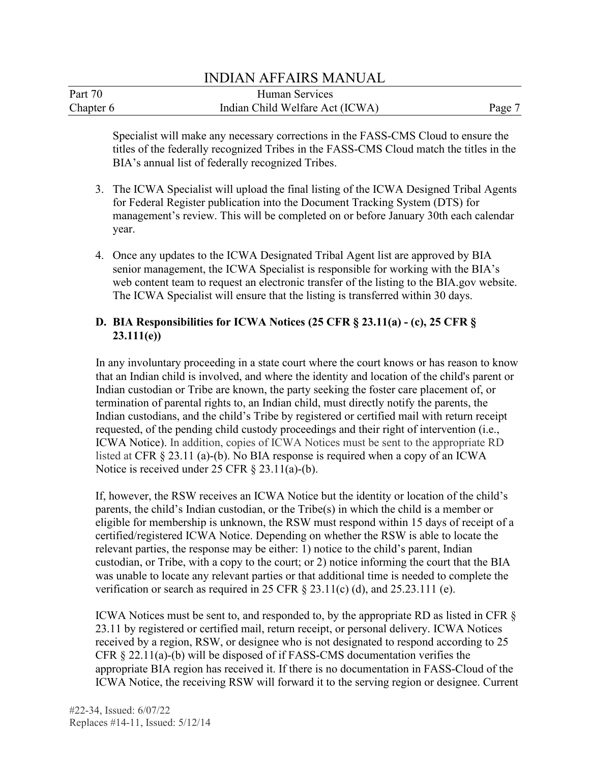#### Part 70 Chapter 6 INDIAN AFFAIRS MANUAL Human Services Indian Child Welfare Act (ICWA) Page 7

 Specialist will make any necessary corrections in the FASS-CMS Cloud to ensure the titles of the federally recognized Tribes in the FASS-CMS Cloud match the titles in the BIA's annual list of federally recognized Tribes.

- 3. The ICWA Specialist will upload the final listing of the ICWA Designed Tribal Agents for Federal Register publication into the Document Tracking System (DTS) for management's review. This will be completed on or before January 30th each calendar year.
- 4. Once any updates to the ICWA Designated Tribal Agent list are approved by BIA senior management, the ICWA Specialist is responsible for working with the BIA's web content team to request an electronic transfer of the listing to the BIA.gov website. The ICWA Specialist will ensure that the listing is transferred within 30 days.

# **D. BIA Responsibilities for ICWA Notices (25 CFR § 23.11(a) - (c), 25 CFR § 23.111(e))**

 Indian custodian or Tribe are known, the party seeking the foster care placement of, or ICWA Notice). In addition, copies of ICWA Notices must be sent to the appropriate RD In any involuntary proceeding in a state court where the court knows or has reason to know that an Indian child is involved, and where the identity and location of the child's parent or termination of parental rights to, an Indian child, must directly notify the parents, the Indian custodians, and the child's Tribe by registered or certified mail with return receipt requested, of the pending child custody proceedings and their right of intervention (i.e., listed at CFR § 23.11 (a)-(b). No BIA response is required when a copy of an ICWA Notice is received under 25 CFR § 23.11(a)-(b).

 parents, the child's Indian custodian, or the Tribe(s) in which the child is a member or certified/registered ICWA Notice. Depending on whether the RSW is able to locate the was unable to locate any relevant parties or that additional time is needed to complete the If, however, the RSW receives an ICWA Notice but the identity or location of the child's eligible for membership is unknown, the RSW must respond within 15 days of receipt of a relevant parties, the response may be either: 1) notice to the child's parent, Indian custodian, or Tribe, with a copy to the court; or 2) notice informing the court that the BIA verification or search as required in 25 CFR § 23.11(c) (d), and 25.23.111 (e).

ICWA Notices must be sent to, and responded to, by the appropriate RD as listed in CFR § 23.11 by registered or certified mail, return receipt, or personal delivery. ICWA Notices received by a region, RSW, or designee who is not designated to respond according to 25 CFR § 22.11(a)-(b) will be disposed of if FASS-CMS documentation verifies the appropriate BIA region has received it. If there is no documentation in FASS-Cloud of the ICWA Notice, the receiving RSW will forward it to the serving region or designee. Current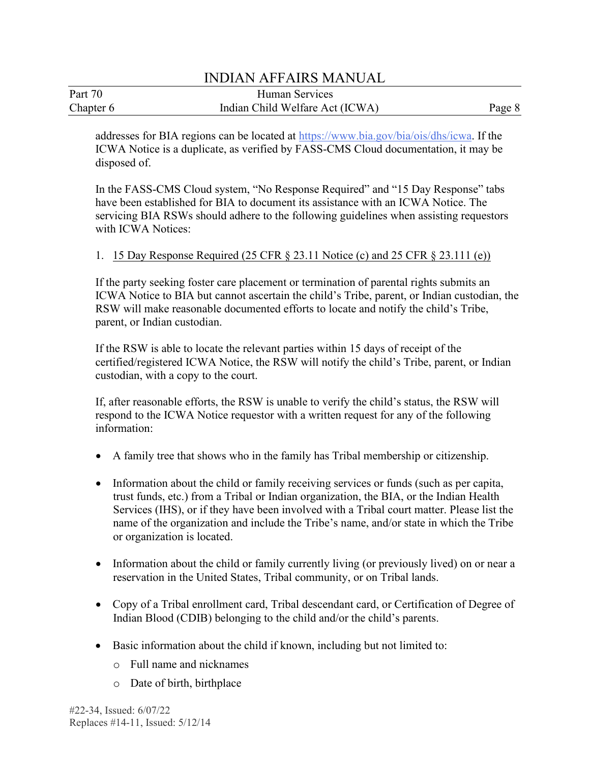| Part 70   | Human Services                  |        |
|-----------|---------------------------------|--------|
| Chapter 6 | Indian Child Welfare Act (ICWA) | Page 8 |

addresses for BIA regions can be located at [https://www.bia.gov/bia/ois/dhs/icwa.](https://www.bia.gov/bia/ois/dhs/icwa) If the ICWA Notice is a duplicate, as verified by FASS-CMS Cloud documentation, it may be disposed of.

 have been established for BIA to document its assistance with an ICWA Notice. The In the FASS-CMS Cloud system, "No Response Required" and "15 Day Response" tabs servicing BIA RSWs should adhere to the following guidelines when assisting requestors with ICWA Notices:

## 1. 15 Day Response Required (25 CFR § 23.11 Notice (c) and 25 CFR § 23.111 (e))

 RSW will make reasonable documented efforts to locate and notify the child's Tribe, If the party seeking foster care placement or termination of parental rights submits an ICWA Notice to BIA but cannot ascertain the child's Tribe, parent, or Indian custodian, the parent, or Indian custodian.

If the RSW is able to locate the relevant parties within 15 days of receipt of the certified/registered ICWA Notice, the RSW will notify the child's Tribe, parent, or Indian custodian, with a copy to the court.

If, after reasonable efforts, the RSW is unable to verify the child's status, the RSW will respond to the ICWA Notice requestor with a written request for any of the following information:

- A family tree that shows who in the family has Tribal membership or citizenship.
- Information about the child or family receiving services or funds (such as per capita, trust funds, etc.) from a Tribal or Indian organization, the BIA, or the Indian Health Services (IHS), or if they have been involved with a Tribal court matter. Please list the name of the organization and include the Tribe's name, and/or state in which the Tribe or organization is located.
- • Information about the child or family currently living (or previously lived) on or near a reservation in the United States, Tribal community, or on Tribal lands.
- Copy of a Tribal enrollment card, Tribal descendant card, or Certification of Degree of Indian Blood (CDIB) belonging to the child and/or the child's parents.
- Basic information about the child if known, including but not limited to:
	- o Full name and nicknames
	- o Date of birth, birthplace

 #22-34, Issued: 6/07/22 Replaces #14-11, Issued: 5/12/14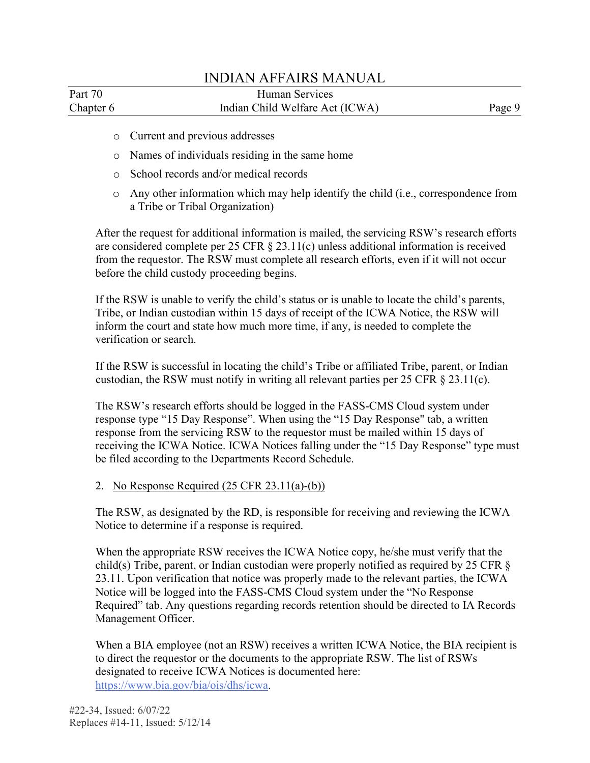| Part 70   | Human Services                  |        |
|-----------|---------------------------------|--------|
| Chapter 6 | Indian Child Welfare Act (ICWA) | Page 9 |

- o Current and previous addresses
- o Names of individuals residing in the same home
- o School records and/or medical records
- o Any other information which may help identify the child (i.e., correspondence from a Tribe or Tribal Organization)

After the request for additional information is mailed, the servicing RSW's research efforts are considered complete per 25 CFR § 23.11(c) unless additional information is received from the requestor. The RSW must complete all research efforts, even if it will not occur before the child custody proceeding begins.

verification or search. If the RSW is unable to verify the child's status or is unable to locate the child's parents, Tribe, or Indian custodian within 15 days of receipt of the ICWA Notice, the RSW will inform the court and state how much more time, if any, is needed to complete the

If the RSW is successful in locating the child's Tribe or affiliated Tribe, parent, or Indian custodian, the RSW must notify in writing all relevant parties per 25 CFR § 23.11(c).

The RSW's research efforts should be logged in the FASS-CMS Cloud system under response type "15 Day Response". When using the "15 Day Response" tab, a written response from the servicing RSW to the requestor must be mailed within 15 days of receiving the ICWA Notice. ICWA Notices falling under the "15 Day Response" type must be filed according to the Departments Record Schedule.

### 2. No Response Required (25 CFR 23.11(a)-(b))

The RSW, as designated by the RD, is responsible for receiving and reviewing the ICWA Notice to determine if a response is required.

 23.11. Upon verification that notice was properly made to the relevant parties, the ICWA When the appropriate RSW receives the ICWA Notice copy, he/she must verify that the child(s) Tribe, parent, or Indian custodian were properly notified as required by 25 CFR § Notice will be logged into the FASS-CMS Cloud system under the "No Response Required" tab. Any questions regarding records retention should be directed to IA Records Management Officer.

 When a BIA employee (not an RSW) receives a written ICWA Notice, the BIA recipient is to direct the requestor or the documents to the appropriate RSW. The list of RSWs designated to receive ICWA Notices is documented here: [https://www.bia.gov/bia/ois/dhs/icwa.](https://www.bia.gov/bia/ois/dhs/icwa)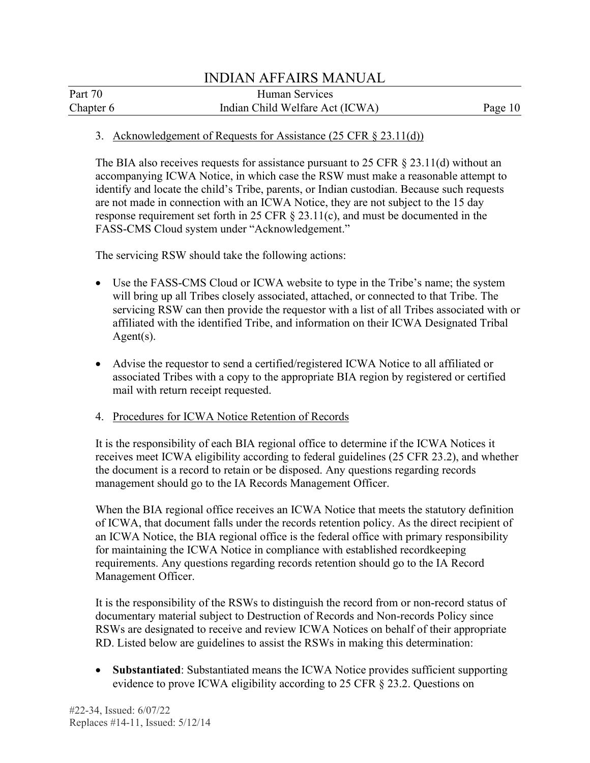## 3. Acknowledgement of Requests for Assistance (25 CFR § 23.11(d))

 accompanying ICWA Notice, in which case the RSW must make a reasonable attempt to FASS-CMS Cloud system under "Acknowledgement." The BIA also receives requests for assistance pursuant to 25 CFR  $\S$  23.11(d) without an identify and locate the child's Tribe, parents, or Indian custodian. Because such requests are not made in connection with an ICWA Notice, they are not subject to the 15 day response requirement set forth in 25 CFR § 23.11(c), and must be documented in the

The servicing RSW should take the following actions:

- servicing RSW can then provide the requestor with a list of all Tribes associated with or • Use the FASS-CMS Cloud or ICWA website to type in the Tribe's name; the system will bring up all Tribes closely associated, attached, or connected to that Tribe. The affiliated with the identified Tribe, and information on their ICWA Designated Tribal Agent(s).
- Advise the requestor to send a certified/registered ICWA Notice to all affiliated or associated Tribes with a copy to the appropriate BIA region by registered or certified mail with return receipt requested.
- 4. Procedures for ICWA Notice Retention of Records

 management should go to the IA Records Management Officer. It is the responsibility of each BIA regional office to determine if the ICWA Notices it receives meet ICWA eligibility according to federal guidelines (25 CFR 23.2), and whether the document is a record to retain or be disposed. Any questions regarding records

 When the BIA regional office receives an ICWA Notice that meets the statutory definition requirements. Any questions regarding records retention should go to the IA Record of ICWA, that document falls under the records retention policy. As the direct recipient of an ICWA Notice, the BIA regional office is the federal office with primary responsibility for maintaining the ICWA Notice in compliance with established recordkeeping Management Officer.

It is the responsibility of the RSWs to distinguish the record from or non-record status of documentary material subject to Destruction of Records and Non-records Policy since RSWs are designated to receive and review ICWA Notices on behalf of their appropriate RD. Listed below are guidelines to assist the RSWs in making this determination:

• **Substantiated**: Substantiated means the ICWA Notice provides sufficient supporting evidence to prove ICWA eligibility according to 25 CFR § 23.2. Questions on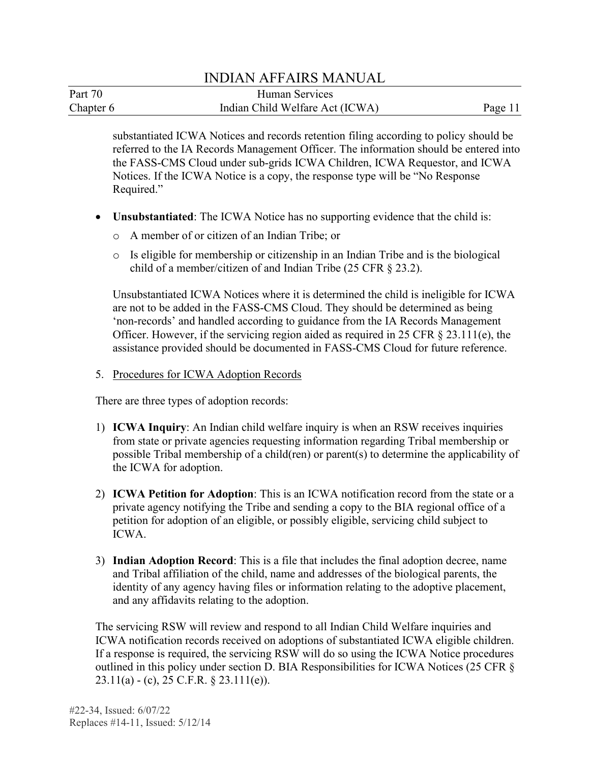| Part 70   | Human Services                  |         |
|-----------|---------------------------------|---------|
| Chapter 6 | Indian Child Welfare Act (ICWA) | Page 11 |

 Required." substantiated ICWA Notices and records retention filing according to policy should be referred to the IA Records Management Officer. The information should be entered into the FASS-CMS Cloud under sub-grids ICWA Children, ICWA Requestor, and ICWA Notices. If the ICWA Notice is a copy, the response type will be "No Response

- **Unsubstantiated**: The ICWA Notice has no supporting evidence that the child is:
	- o A member of or citizen of an Indian Tribe; or
	- o Is eligible for membership or citizenship in an Indian Tribe and is the biological child of a member/citizen of and Indian Tribe (25 CFR § 23.2).

 Unsubstantiated ICWA Notices where it is determined the child is ineligible for ICWA 'non-records' and handled according to guidance from the IA Records Management are not to be added in the FASS-CMS Cloud. They should be determined as being Officer. However, if the servicing region aided as required in 25 CFR § 23.111(e), the assistance provided should be documented in FASS-CMS Cloud for future reference.

5. Procedures for ICWA Adoption Records

There are three types of adoption records:

- 1) **ICWA Inquiry**: An Indian child welfare inquiry is when an RSW receives inquiries from state or private agencies requesting information regarding Tribal membership or possible Tribal membership of a child(ren) or parent(s) to determine the applicability of the ICWA for adoption.
- 2) **ICWA Petition for Adoption**: This is an ICWA notification record from the state or a private agency notifying the Tribe and sending a copy to the BIA regional office of a petition for adoption of an eligible, or possibly eligible, servicing child subject to ICWA.
- 3) **Indian Adoption Record**: This is a file that includes the final adoption decree, name and Tribal affiliation of the child, name and addresses of the biological parents, the identity of any agency having files or information relating to the adoptive placement, and any affidavits relating to the adoption.

The servicing RSW will review and respond to all Indian Child Welfare inquiries and ICWA notification records received on adoptions of substantiated ICWA eligible children. If a response is required, the servicing RSW will do so using the ICWA Notice procedures outlined in this policy under section D. BIA Responsibilities for ICWA Notices (25 CFR § 23.11(a) - (c), 25 C.F.R. § 23.111(e)).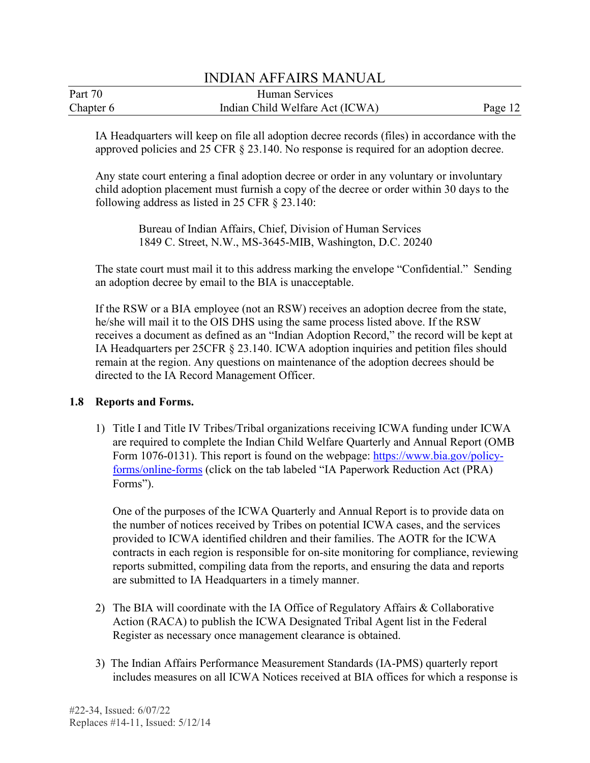| Part 70   | Human Services                  |         |
|-----------|---------------------------------|---------|
| Chapter 6 | Indian Child Welfare Act (ICWA) | Page 12 |

IA Headquarters will keep on file all adoption decree records (files) in accordance with the approved policies and 25 CFR § 23.140. No response is required for an adoption decree.

Any state court entering a final adoption decree or order in any voluntary or involuntary child adoption placement must furnish a copy of the decree or order within 30 days to the following address as listed in 25 CFR § 23.140:

> Bureau of Indian Affairs, Chief, Division of Human Services 1849 C. Street, N.W., MS-3645-MIB, Washington, D.C. 20240

The state court must mail it to this address marking the envelope "Confidential." Sending an adoption decree by email to the BIA is unacceptable.

 If the RSW or a BIA employee (not an RSW) receives an adoption decree from the state, he/she will mail it to the OIS DHS using the same process listed above. If the RSW receives a document as defined as an "Indian Adoption Record," the record will be kept at IA Headquarters per 25CFR § 23.140. ICWA adoption inquiries and petition files should remain at the region. Any questions on maintenance of the adoption decrees should be directed to the IA Record Management Officer.

## **1.8 Reports and Forms.**

 1) Title I and Title IV Tribes/Tribal organizations receiving ICWA funding under ICWA [forms/online-forms](https://www.bia.gov/policy-forms/online-forms) (click on the tab labeled "IA Paperwork Reduction Act (PRA) are required to complete the Indian Child Welfare Quarterly and Annual Report (OMB Form 1076-0131). This report is found on the webpage: [https://www.bia.gov/policy-](https://www.bia.gov/policy-forms/online-forms)Forms").

One of the purposes of the ICWA Quarterly and Annual Report is to provide data on the number of notices received by Tribes on potential ICWA cases, and the services provided to ICWA identified children and their families. The AOTR for the ICWA contracts in each region is responsible for on-site monitoring for compliance, reviewing reports submitted, compiling data from the reports, and ensuring the data and reports are submitted to IA Headquarters in a timely manner.

- Register as necessary once management clearance is obtained. 2) The BIA will coordinate with the IA Office of Regulatory Affairs & Collaborative Action (RACA) to publish the ICWA Designated Tribal Agent list in the Federal
- 3) The Indian Affairs Performance Measurement Standards (IA-PMS) quarterly report includes measures on all ICWA Notices received at BIA offices for which a response is